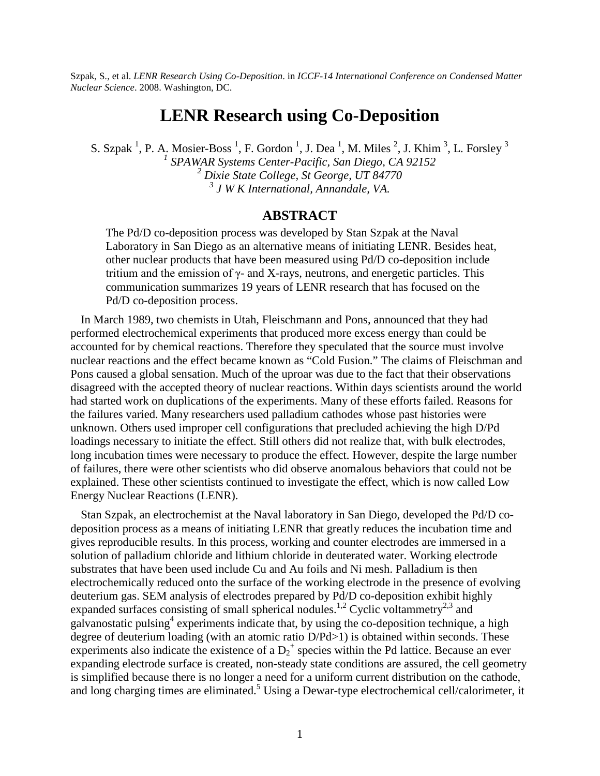Szpak, S., et al. *LENR Research Using Co-Deposition*. in *ICCF-14 International Conference on Condensed Matter Nuclear Science*. 2008. Washington, DC.

## **LENR Research using Co-Deposition**

S. Szpak<sup>1</sup>, P. A. Mosier-Boss<sup>1</sup>, F. Gordon<sup>1</sup>, J. Dea<sup>1</sup>, M. Miles<sup>2</sup>, J. Khim<sup>3</sup>, L. Forsley<sup>3</sup> *SPAWAR Systems Center-Pacific, San Diego, CA 92152 Dixie State College, St George, UT 84770 J W K International, Annandale, VA.*

## **ABSTRACT**

The Pd/D co-deposition process was developed by Stan Szpak at the Naval Laboratory in San Diego as an alternative means of initiating LENR. Besides heat, other nuclear products that have been measured using Pd/D co-deposition include tritium and the emission of  $\gamma$ - and X-rays, neutrons, and energetic particles. This communication summarizes 19 years of LENR research that has focused on the Pd/D co-deposition process.

In March 1989, two chemists in Utah, Fleischmann and Pons, announced that they had performed electrochemical experiments that produced more excess energy than could be accounted for by chemical reactions. Therefore they speculated that the source must involve nuclear reactions and the effect became known as "Cold Fusion." The claims of Fleischman and Pons caused a global sensation. Much of the uproar was due to the fact that their observations disagreed with the accepted theory of nuclear reactions. Within days scientists around the world had started work on duplications of the experiments. Many of these efforts failed. Reasons for the failures varied. Many researchers used palladium cathodes whose past histories were unknown. Others used improper cell configurations that precluded achieving the high D/Pd loadings necessary to initiate the effect. Still others did not realize that, with bulk electrodes, long incubation times were necessary to produce the effect. However, despite the large number of failures, there were other scientists who did observe anomalous behaviors that could not be explained. These other scientists continued to investigate the effect, which is now called Low Energy Nuclear Reactions (LENR).

Stan Szpak, an electrochemist at the Naval laboratory in San Diego, developed the Pd/D codeposition process as a means of initiating LENR that greatly reduces the incubation time and gives reproducible results. In this process, working and counter electrodes are immersed in a solution of palladium chloride and lithium chloride in deuterated water. Working electrode substrates that have been used include Cu and Au foils and Ni mesh. Palladium is then electrochemically reduced onto the surface of the working electrode in the presence of evolving deuterium gas. SEM analysis of electrodes prepared by Pd/D co-deposition exhibit highly expanded surfaces consisting of small spherical nodules.<sup>1,2</sup> Cyclic voltammetry<sup>2,3</sup> and galvanostatic pulsing<sup>4</sup> experiments indicate that, by using the co-deposition technique, a high degree of deuterium loading (with an atomic ratio  $D/Pd>1$ ) is obtained within seconds. These experiments also indicate the existence of a  $D_2^+$  species within the Pd lattice. Because an ever expanding electrode surface is created, non-steady state conditions are assured, the cell geometry is simplified because there is no longer a need for a uniform current distribution on the cathode, and long charging times are eliminated.<sup>5</sup> Using a Dewar-type electrochemical cell/calorimeter, it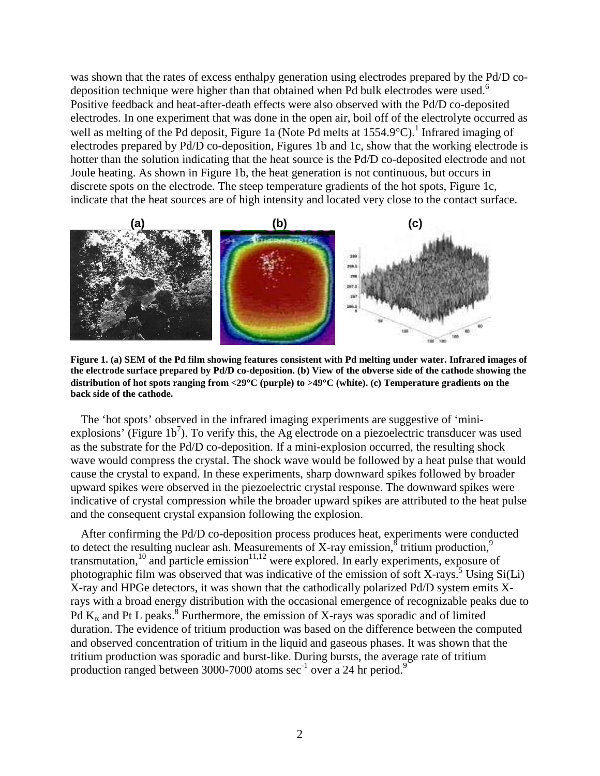was shown that the rates of excess enthalpy generation using electrodes prepared by the Pd/D codeposition technique were higher than that obtained when Pd bulk electrodes were used.<sup>6</sup> Positive feedback and heat-after-death effects were also observed with the Pd/D co-deposited electrodes. In one experiment that was done in the open air, boil off of the electrolyte occurred as well as melting of the Pd deposit, Figure 1a (Note Pd melts at  $1554.9^{\circ}$ C).<sup>1</sup> Infrared imaging of electrodes prepared by Pd/D co-deposition, Figures 1b and 1c, show that the working electrode is hotter than the solution indicating that the heat source is the Pd/D co-deposited electrode and not Joule heating. As shown in Figure 1b, the heat generation is not continuous, but occurs in discrete spots on the electrode. The steep temperature gradients of the hot spots, Figure 1c, indicate that the heat sources are of high intensity and located very close to the contact surface.



**Figure 1. (a) SEM of the Pd film showing features consistent with Pd melting under water. Infrared images of the electrode surface prepared by Pd/D co-deposition. (b) View of the obverse side of the cathode showing the distribution of hot spots ranging from <29C (purple) to >49C (white). (c) Temperature gradients on the back side of the cathode.**

The 'hot spots' observed in the infrared imaging experiments are suggestive of 'miniexplosions' (Figure  $1b^7$ ). To verify this, the Ag electrode on a piezoelectric transducer was used as the substrate for the Pd/D co-deposition. If a mini-explosion occurred, the resulting shock wave would compress the crystal. The shock wave would be followed by a heat pulse that would cause the crystal to expand. In these experiments, sharp downward spikes followed by broader upward spikes were observed in the piezoelectric crystal response. The downward spikes were indicative of crystal compression while the broader upward spikes are attributed to the heat pulse and the consequent crystal expansion following the explosion.

After confirming the Pd/D co-deposition process produces heat, experiments were conducted to detect the resulting nuclear ash. Measurements of X-ray emission,  $\frac{1}{8}$  tritium production,<sup>9</sup> transmutation, $10$  and particle emission $11,12$  were explored. In early experiments, exposure of photographic film was observed that was indicative of the emission of soft X-rays.<sup>5</sup> Using  $Si(Li)$ X-ray and HPGe detectors, it was shown that the cathodically polarized Pd/D system emits Xrays with a broad energy distribution with the occasional emergence of recognizable peaks due to Pd  $K_{\alpha}$  and Pt L peaks.<sup>8</sup> Furthermore, the emission of X-rays was sporadic and of limited duration. The evidence of tritium production was based on the difference between the computed and observed concentration of tritium in the liquid and gaseous phases. It was shown that the tritium production was sporadic and burst-like. During bursts, the average rate of tritium production ranged between 3000-7000 atoms  $\sec^{-1}$  over a 24 hr period.<sup>9</sup>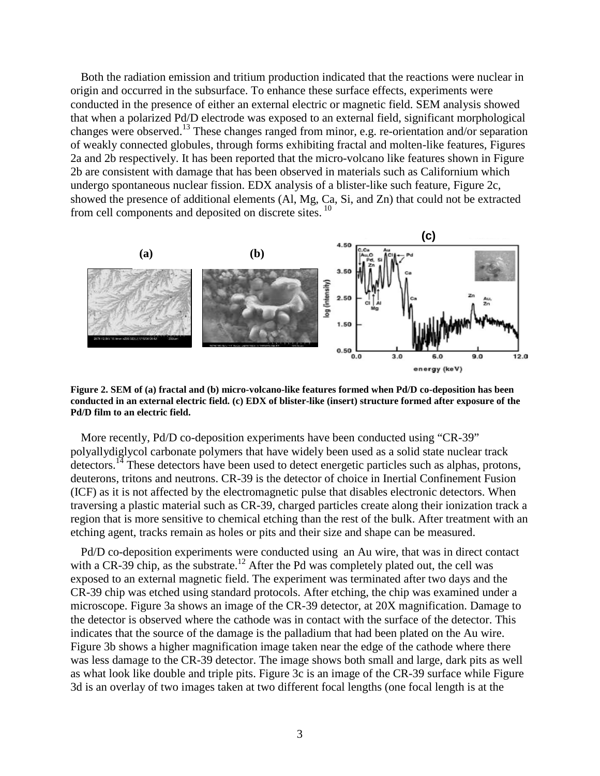Both the radiation emission and tritium production indicated that the reactions were nuclear in origin and occurred in the subsurface. To enhance these surface effects, experiments were conducted in the presence of either an external electric or magnetic field. SEM analysis showed that when a polarized Pd/D electrode was exposed to an external field, significant morphological changes were observed.<sup>13</sup> These changes ranged from minor, e.g. re-orientation and/or separation of weakly connected globules, through forms exhibiting fractal and molten-like features, Figures 2a and 2b respectively. It has been reported that the micro-volcano like features shown in Figure 2b are consistent with damage that has been observed in materials such as Californium which undergo spontaneous nuclear fission. EDX analysis of a blister-like such feature, Figure 2c, showed the presence of additional elements (Al, Mg, Ca, Si, and Zn) that could not be extracted from cell components and deposited on discrete sites.<sup>10</sup>



**Figure 2. SEM of (a) fractal and (b) micro-volcano-like features formed when Pd/D co-deposition has been conducted in an external electric field. (c) EDX of blister-like (insert) structure formed after exposure of the Pd/D film to an electric field.**

More recently, Pd/D co-deposition experiments have been conducted using "CR-39" polyallydiglycol carbonate polymers that have widely been used as a solid state nuclear track detectors.<sup>14</sup> These detectors have been used to detect energetic particles such as alphas, protons, deuterons, tritons and neutrons. CR-39 is the detector of choice in Inertial Confinement Fusion (ICF) as it is not affected by the electromagnetic pulse that disables electronic detectors. When traversing a plastic material such as CR-39, charged particles create along their ionization track a region that is more sensitive to chemical etching than the rest of the bulk. After treatment with an etching agent, tracks remain as holes or pits and their size and shape can be measured.

Pd/D co-deposition experiments were conducted using an Au wire, that was in direct contact with a CR-39 chip, as the substrate.<sup>12</sup> After the Pd was completely plated out, the cell was exposed to an external magnetic field. The experiment was terminated after two days and the CR-39 chip was etched using standard protocols. After etching, the chip was examined under a microscope. Figure 3a shows an image of the CR-39 detector, at 20X magnification. Damage to the detector is observed where the cathode was in contact with the surface of the detector. This indicates that the source of the damage is the palladium that had been plated on the Au wire. Figure 3b shows a higher magnification image taken near the edge of the cathode where there was less damage to the CR-39 detector. The image shows both small and large, dark pits as well as what look like double and triple pits. Figure 3c is an image of the CR-39 surface while Figure 3d is an overlay of two images taken at two different focal lengths (one focal length is at the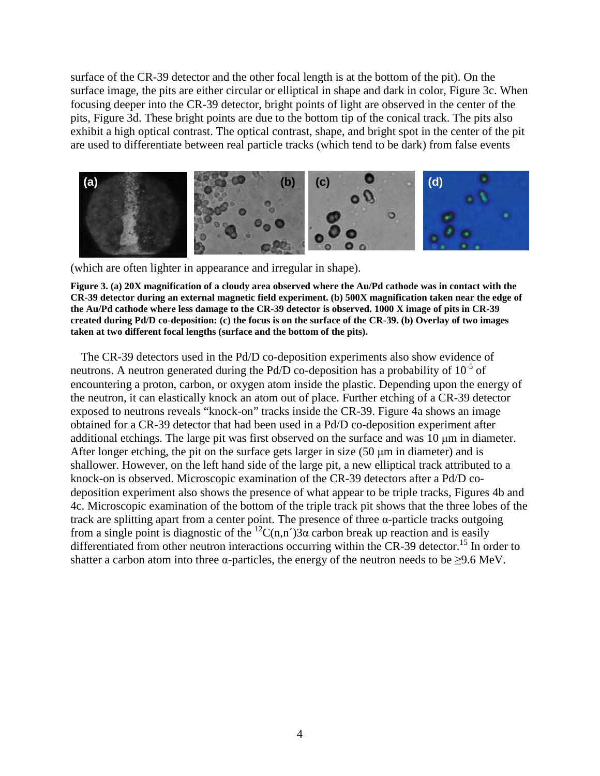surface of the CR-39 detector and the other focal length is at the bottom of the pit). On the surface image, the pits are either circular or elliptical in shape and dark in color, Figure 3c. When focusing deeper into the CR-39 detector, bright points of light are observed in the center of the pits, Figure 3d. These bright points are due to the bottom tip of the conical track. The pits also exhibit a high optical contrast. The optical contrast, shape, and bright spot in the center of the pit are used to differentiate between real particle tracks (which tend to be dark) from false events



(which are often lighter in appearance and irregular in shape).

**Figure 3. (a) 20X magnification of a cloudy area observed where the Au/Pd cathode was in contact with the CR-39 detector during an external magnetic field experiment. (b) 500X magnification taken near the edge of the Au/Pd cathode where less damage to the CR-39 detector is observed. 1000 X image of pits in CR-39 created during Pd/D co-deposition: (c) the focus is on the surface of the CR-39. (b) Overlay of two images taken at two different focal lengths (surface and the bottom of the pits).**

The CR-39 detectors used in the Pd/D co-deposition experiments also show evidence of neutrons. A neutron generated during the Pd/D co-deposition has a probability of  $10^{-5}$  of encountering a proton, carbon, or oxygen atom inside the plastic. Depending upon the energy of the neutron, it can elastically knock an atom out of place. Further etching of a CR-39 detector exposed to neutrons reveals "knock-on" tracks inside the CR-39. Figure 4a shows an image obtained for a CR-39 detector that had been used in a Pd/D co-deposition experiment after additional etchings. The large pit was first observed on the surface and was 10 μm in diameter. After longer etching, the pit on the surface gets larger in size (50 μm in diameter) and is shallower. However, on the left hand side of the large pit, a new elliptical track attributed to a knock-on is observed. Microscopic examination of the CR-39 detectors after a Pd/D codeposition experiment also shows the presence of what appear to be triple tracks, Figures 4b and 4c. Microscopic examination of the bottom of the triple track pit shows that the three lobes of the track are splitting apart from a center point. The presence of three α-particle tracks outgoing from a single point is diagnostic of the <sup>12</sup>C(n,n<sup> $\gamma$ </sup>)3 $\alpha$  carbon break up reaction and is easily differentiated from other neutron interactions occurring within the  $CR-39$  detector.<sup>15</sup> In order to shatter a carbon atom into three  $\alpha$ -particles, the energy of the neutron needs to be  $\geq$ 9.6 MeV.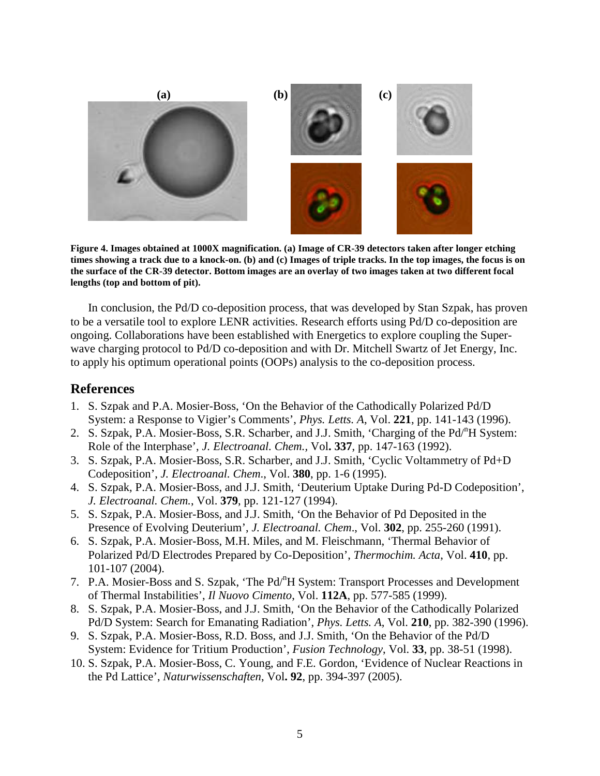

**Figure 4. Images obtained at 1000X magnification. (a) Image of CR-39 detectors taken after longer etching times showing a track due to a knock-on. (b) and (c) Images of triple tracks. In the top images, the focus is on the surface of the CR-39 detector. Bottom images are an overlay of two images taken at two different focal lengths (top and bottom of pit).**

In conclusion, the Pd/D co-deposition process, that was developed by Stan Szpak, has proven to be a versatile tool to explore LENR activities. Research efforts using Pd/D co-deposition are ongoing. Collaborations have been established with Energetics to explore coupling the Superwave charging protocol to Pd/D co-deposition and with Dr. Mitchell Swartz of Jet Energy, Inc. to apply his optimum operational points (OOPs) analysis to the co-deposition process.

## **References**

- 1. S. Szpak and P.A. Mosier-Boss, 'On the Behavior of the Cathodically Polarized Pd/D System: a Response to Vigier's Comments', *Phys. Letts. A*, Vol. **221**, pp. 141-143 (1996).
- 2. S. Szpak, P.A. Mosier-Boss, S.R. Scharber, and J.J. Smith, 'Charging of the Pd<sup>n</sup>H System: Role of the Interphase', *J. Electroanal. Chem.,* Vol**. 337**, pp. 147-163 (1992).
- 3. S. Szpak, P.A. Mosier-Boss, S.R. Scharber, and J.J. Smith, 'Cyclic Voltammetry of Pd+D Codeposition', *J. Electroanal. Chem*., Vol. **380**, pp. 1-6 (1995).
- 4. S. Szpak, P.A. Mosier-Boss, and J.J. Smith, 'Deuterium Uptake During Pd-D Codeposition', *J. Electroanal. Chem.*, Vol. **379**, pp. 121-127 (1994).
- 5. S. Szpak, P.A. Mosier-Boss, and J.J. Smith, 'On the Behavior of Pd Deposited in the Presence of Evolving Deuterium', *J. Electroanal. Chem*., Vol. **302**, pp. 255-260 (1991).
- 6. S. Szpak, P.A. Mosier-Boss, M.H. Miles, and M. Fleischmann, 'Thermal Behavior of Polarized Pd/D Electrodes Prepared by Co-Deposition', *Thermochim. Acta*, Vol. **410**, pp. 101-107 (2004).
- 7. P.A. Mosier-Boss and S. Szpak, 'The Pd<sup>n</sup>H System: Transport Processes and Development of Thermal Instabilities', *Il Nuovo Cimento*, Vol. **112A**, pp. 577-585 (1999).
- 8. S. Szpak, P.A. Mosier-Boss, and J.J. Smith, 'On the Behavior of the Cathodically Polarized Pd/D System: Search for Emanating Radiation', *Phys. Letts. A*, Vol. **210**, pp. 382-390 (1996).
- 9. S. Szpak, P.A. Mosier-Boss, R.D. Boss, and J.J. Smith, 'On the Behavior of the Pd/D System: Evidence for Tritium Production', *Fusion Technology*, Vol. **33**, pp. 38-51 (1998).
- 10. S. Szpak, P.A. Mosier-Boss, C. Young, and F.E. Gordon, 'Evidence of Nuclear Reactions in the Pd Lattice', *Naturwissenschaften*, Vol**. 92**, pp. 394-397 (2005).